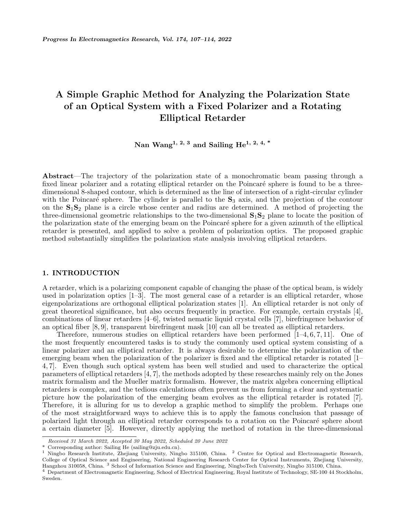# **A Simple Graphic Method for Analyzing the Polarization State of an Optical System with a Fixed Polarizer and a Rotating Elliptical Retarder**

**Nan Wang1, 2, 3 and Sailing He1, 2, 4, \***

**Abstract**—The trajectory of the polarization state of a monochromatic beam passing through a fixed linear polarizer and a rotating elliptical retarder on the Poincaré sphere is found to be a threedimensional 8-shaped contour, which is determined as the line of intersection of a right-circular cylinder with the Poincaré sphere. The cylinder is parallel to the  $S_3$  axis, and the projection of the contour on the  $S_1S_2$  plane is a circle whose center and radius are determined. A method of projecting the three-dimensional geometric relationships to the two-dimensional **S**1**S**<sup>2</sup> plane to locate the position of the polarization state of the emerging beam on the Poincaré sphere for a given azimuth of the elliptical retarder is presented, and applied to solve a problem of polarization optics. The proposed graphic method substantially simplifies the polarization state analysis involving elliptical retarders.

### **1. INTRODUCTION**

A retarder, which is a polarizing component capable of changing the phase of the optical beam, is widely used in polarization optics  $[1-3]$ . The most general case of a retarder is an elliptical retarder, whose eigenpolarizations are orthogonal elliptical polarization states [1]. An elliptical retarder is not only of great theoretical significance, but also occurs frequently in practice. For example, certain crystals [4], combinations of linear retarders [4–6], twisted nematic liquid crystal cells [7], birefringence behavior of an optical fiber [8, 9], transparent birefringent mask [10] can all be treated as elliptical retarders.

Therefore, numerous studies on elliptical retarders have been performed  $[1-4, 6, 7, 11]$ . One of the most frequently encountered tasks is to study the commonly used optical system consisting of a linear polarizer and an elliptical retarder. It is always desirable to determine the polarization of the emerging beam when the polarization of the polarizer is fixed and the elliptical retarder is rotated [1– 4, 7]. Even though such optical system has been well studied and used to characterize the optical parameters of elliptical retarders [4, 7], the methods adopted by these researches mainly rely on the Jones matrix formalism and the Mueller matrix formalism. However, the matrix algebra concerning elliptical retarders is complex, and the tedious calculations often prevent us from forming a clear and systematic picture how the polarization of the emerging beam evolves as the elliptical retarder is rotated [7]. Therefore, it is alluring for us to develop a graphic method to simplify the problem. Perhaps one of the most straightforward ways to achieve this is to apply the famous conclusion that passage of polarized light through an elliptical retarder corresponds to a rotation on the Poincaré sphere about a certain diameter [5]. However, directly applying the method of rotation in the three-dimensional

*Received 31 March 2022, Accepted 30 May 2022, Scheduled 20 June 2022*

<sup>\*</sup> Corresponding author: Sailing He (sailing@zju.edu.cn).

<sup>&</sup>lt;sup>1</sup> Ningbo Research Institute, Zhejiang University, Ningbo 315100, China. <sup>2</sup> Centre for Optical and Electromagnetic Research, College of Optical Science and Engineering, National Engineering Research Center for Optical Instruments, Zhejiang University, Hangzhou 310058, China. <sup>3</sup> School of Information Science and Engineering, NingboTech University, Ningbo 315100, China.

<sup>4</sup> Department of Electromagnetic Engineering, School of Electrical Engineering, Royal Institute of Technology, SE-100 44 Stockholm, Sweden.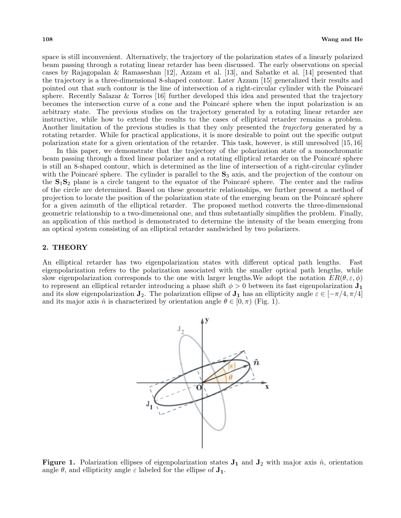space is still inconvenient. Alternatively, the trajectory of the polarization states of a linearly polarized beam passing through a rotating linear retarder has been discussed. The early observations on special cases by Rajagopalan & Ramaseshan [12], Azzam et al. [13], and Sabatke et al. [14] presented that the trajectory is a three-dimensional 8-shaped contour. Later Azzam [15] generalized their results and pointed out that such contour is the line of intersection of a right-circular cylinder with the Poincaré sphere. Recently Salazar & Torres [16] further developed this idea and presented that the trajectory becomes the intersection curve of a cone and the Poincaré sphere when the input polarization is an arbitrary state. The previous studies on the trajectory generated by a rotating linear retarder are instructive, while how to extend the results to the cases of elliptical retarder remains a problem. Another limitation of the previous studies is that they only presented the *trajectory* generated by a rotating retarder. While for practical applications, it is more desirable to point out the specific output polarization state for a given orientation of the retarder. This task, however, is still unresolved [15, 16]

In this paper, we demonstrate that the trajectory of the polarization state of a monochromatic beam passing through a fixed linear polarizer and a rotating elliptical retarder on the Poincaré sphere is still an 8-shaped contour, which is determined as the line of intersection of a right-circular cylinder with the Poincaré sphere. The cylinder is parallel to the  $S_3$  axis, and the projection of the contour on the  $S_1S_2$  plane is a circle tangent to the equator of the Poincaré sphere. The center and the radius of the circle are determined. Based on these geometric relationships, we further present a method of projection to locate the position of the polarization state of the emerging beam on the Poincaré sphere for a given azimuth of the elliptical retarder. The proposed method converts the three-dimensional geometric relationship to a two-dimensional one, and thus substantially simplifies the problem. Finally, an application of this method is demonstrated to determine the intensity of the beam emerging from an optical system consisting of an elliptical retarder sandwiched by two polarizers.

## **2. THEORY**

An elliptical retarder has two eigenpolarization states with different optical path lengths. Fast eigenpolarization refers to the polarization associated with the smaller optical path lengths, while slow eigenpolarization corresponds to the one with larger lengths. We adopt the notation  $ER(\theta, \varepsilon, \phi)$ to represent an elliptical retarder introducing a phase shift  $\phi > 0$  between its fast eigenpolarization  $J_1$ and its slow eigenpolarization **J**<sub>2</sub>. The polarization ellipse of **J**<sub>1</sub> has an ellipticity angle  $\varepsilon \in [-\pi/4, \pi/4]$ and its major axis  $\hat{n}$  is characterized by orientation angle  $\theta \in [0, \pi)$  (Fig. 1).



**Figure 1.** Polarization ellipses of eigenpolarization states  $J_1$  and  $J_2$  with major axis  $\hat{n}$ , orientation angle  $\theta$ , and ellipticity angle  $\varepsilon$  labeled for the ellipse of  $J_1$ .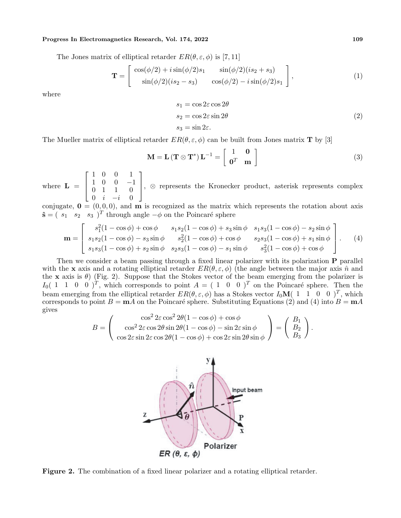### **Progress In Electromagnetics Research, Vol. 174, 2022 109**

The Jones matrix of elliptical retarder  $ER(\theta, \varepsilon, \phi)$  is [7, 11]

$$
\mathbf{T} = \begin{bmatrix} \cos(\phi/2) + i \sin(\phi/2)s_1 & \sin(\phi/2)(is_2 + s_3) \\ \sin(\phi/2)(is_2 - s_3) & \cos(\phi/2) - i \sin(\phi/2)s_1 \end{bmatrix},
$$
(1)

where

$$
s_1 = \cos 2\varepsilon \cos 2\theta
$$
  
\n
$$
s_2 = \cos 2\varepsilon \sin 2\theta
$$
  
\n
$$
s_3 = \sin 2\varepsilon.
$$
  
\n(2)

The Mueller matrix of elliptical retarder  $ER(\theta, \varepsilon, \phi)$  can be built from Jones matrix **T** by [3]

$$
\mathbf{M} = \mathbf{L} \left( \mathbf{T} \otimes \mathbf{T}^* \right) \mathbf{L}^{-1} = \begin{bmatrix} 1 & \mathbf{0} \\ \mathbf{0}^T & \mathbf{m} \end{bmatrix} \tag{3}
$$

where  $\mathbf{L} =$  $\lceil$  $\vert$ 1 0 0 1 1 0 0 *−*1 0 1 1 0 0 *i −i* 0 1 , *<sup>⊗</sup>* represents the Kronecker product, asterisk represents complex

conjugate,  $\mathbf{0} = (0, 0, 0)$ , and **m** is recognized as the matrix which represents the rotation about axis  $\hat{\mathbf{s}}$  = ( *s*<sub>1</sub> *s*<sub>2</sub> *s*<sub>3</sub> )<sup>*T*</sup> through angle *−ϕ* on the Poincaré sphere

$$
\mathbf{m} = \begin{bmatrix} s_1^2(1 - \cos\phi) + \cos\phi & s_1s_2(1 - \cos\phi) + s_3\sin\phi & s_1s_3(1 - \cos\phi) - s_2\sin\phi \\ s_1s_2(1 - \cos\phi) - s_3\sin\phi & s_2^2(1 - \cos\phi) + \cos\phi & s_2s_3(1 - \cos\phi) + s_1\sin\phi \\ s_1s_3(1 - \cos\phi) + s_2\sin\phi & s_2s_3(1 - \cos\phi) - s_1\sin\phi & s_3^2(1 - \cos\phi) + \cos\phi \end{bmatrix}.
$$
 (4)

Then we consider a beam passing through a fixed linear polarizer with its polarization **P** parallel with the **x** axis and a rotating elliptical retarder  $ER(\theta, \varepsilon, \phi)$  (the angle between the major axis  $\hat{n}$  and the **x** axis is  $\theta$ ) (Fig. 2). Suppose that the Stokes vector of the beam emerging from the polarizer is  $I_0$ ( 1 1 0 0 )<sup>T</sup>, which corresponds to point  $A = (1 \ 0 \ 0)^T$  on the Poincaré sphere. Then the beam emerging from the elliptical retarder  $ER(\theta, \varepsilon, \phi)$  has a Stokes vector  $I_0\mathbf{M}$ (1 1 0 0)<sup>T</sup>, which corresponds to point  $B = \mathbf{m}A$  on the Poincaré sphere. Substituting Equations (2) and (4) into  $B = \mathbf{m}A$ gives

$$
B = \begin{pmatrix} \cos^2 2\varepsilon \cos^2 2\theta (1 - \cos \phi) + \cos \phi \\ \cos^2 2\varepsilon \cos 2\theta \sin 2\theta (1 - \cos \phi) - \sin 2\varepsilon \sin \phi \\ \cos 2\varepsilon \sin 2\varepsilon \cos 2\theta (1 - \cos \phi) + \cos 2\varepsilon \sin 2\theta \sin \phi \end{pmatrix} = \begin{pmatrix} B_1 \\ B_2 \\ B_3 \end{pmatrix}.
$$



**Figure 2.** The combination of a fixed linear polarizer and a rotating elliptical retarder.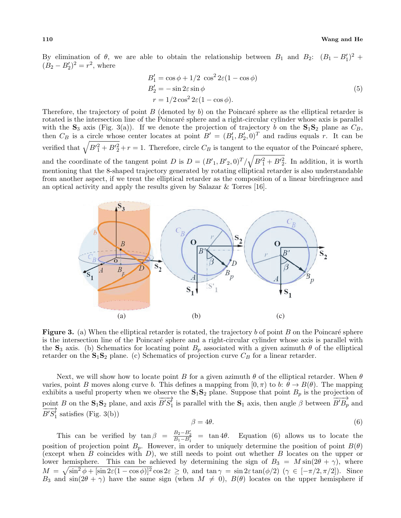By elimination of  $\theta$ , we are able to obtain the relationship between *B*<sub>1</sub> and *B*<sub>2</sub>:  $(B_1 - B_1')^2$  +  $(B_2 - B'_2)^2 = r^2$ , where

$$
B'_1 = \cos \phi + 1/2 \cos^2 2\varepsilon (1 - \cos \phi)
$$
  
\n
$$
B'_2 = -\sin 2\varepsilon \sin \phi
$$
  
\n
$$
r = 1/2 \cos^2 2\varepsilon (1 - \cos \phi).
$$
\n(5)

Therefore, the trajectory of point  $B$  (denoted by  $b$ ) on the Poincaré sphere as the elliptical retarder is rotated is the intersection line of the Poincaré sphere and a right-circular cylinder whose axis is parallel with the  $\mathbf{S}_3$  axis (Fig. 3(a)). If we denote the projection of trajectory *b* on the  $\mathbf{S}_1\mathbf{S}_2$  plane as  $C_B$ , then  $C_B$  is a circle whose center locates at point  $B' = (B'_1, B'_2, 0)^T$  and radius equals *r*. It can be verified that  $\sqrt{B'^2 + B'^2 + r} = 1$ . Therefore, circle  $C_B$  is tangent to the equator of the Poincaré sphere, and the coordinate of the tangent point *D* is  $D = (B'_{1}, B'_{2}, 0)^{T}/\sqrt{B'^{2}_{1} + B'^{2}_{2}}$ . In addition, it is worth mentioning that the 8-shaped trajectory generated by rotating elliptical retarder is also understandable from another aspect, if we treat the elliptical retarder as the composition of a linear birefringence and an optical activity and apply the results given by Salazar & Torres [16].



**Figure 3.** (a) When the elliptical retarder is rotated, the trajectory  $b$  of point  $B$  on the Poincaré sphere is the intersection line of the Poincaré sphere and a right-circular cylinder whose axis is parallel with the **S**<sub>3</sub> axis. (b) Schematics for locating point  $B_p$  associated with a given azimuth  $\theta$  of the elliptical retarder on the  $S_1S_2$  plane. (c) Schematics of projection curve  $C_B$  for a linear retarder.

Next, we will show how to locate point *B* for a given azimuth *θ* of the elliptical retarder. When *θ* varies, point *B* moves along curve *b*. This defines a mapping from  $[0, \pi)$  to *b*:  $\theta \to B(\theta)$ . The mapping exhibits a useful property when we observe the  $S_1S_2$  plane. Suppose that point  $B_p$  is the projection of point *B* on the  $\mathbf{S}_1 \mathbf{S}_2$  plane, and axis  $\overrightarrow{B'S_1}$  is parallel with the  $\mathbf{S}_1$  axis, then angle  $\beta$  between  $\overrightarrow{B'B_p}$  and  $\overrightarrow{B'S_1'}$  satisfies (Fig. 3(b))

$$
\beta = 4\theta. \tag{6}
$$

This can be verified by  $\tan \beta = \frac{B_2 - B'_2}{B_1 - B'_1} = \tan 4\theta$ . Equation (6) allows us to locate the position of projection point  $B_p$ . However, in order to uniquely determine the position of point  $B(\theta)$ (except when *B* coincides with *D*), we still needs to point out whether *B* locates on the upper or lower hemisphere. This can be achieved by determining the sign of  $B_3 = M \sin(2\theta + \gamma)$ , where  $M = \sqrt{\sin^2 \phi + [\sin 2\varepsilon (1 - \cos \phi)]^2} \cos 2\varepsilon \geq 0$ , and  $\tan \gamma = \sin 2\varepsilon \tan(\phi/2)$  ( $\gamma \in [-\pi/2, \pi/2]$ ). Since *B*<sub>3</sub> and  $sin(2\theta + \gamma)$  have the same sign (when  $M \neq 0$ ),  $B(\theta)$  locates on the upper hemisphere if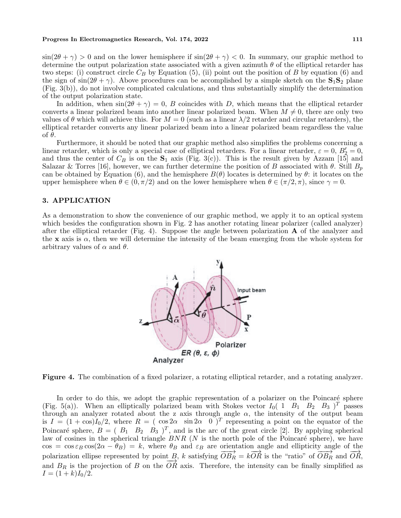#### **Progress In Electromagnetics Research, Vol. 174, 2022 111**

 $\sin(2\theta + \gamma) > 0$  and on the lower hemisphere if  $\sin(2\theta + \gamma) < 0$ . In summary, our graphic method to determine the output polarization state associated with a given azimuth *θ* of the elliptical retarder has two steps: (i) construct circle  $C_B$  by Equation (5), (ii) point out the position of *B* by equation (6) and the sign of  $\sin(2\theta + \gamma)$ . Above procedures can be accomplished by a simple sketch on the  $S_1S_2$  plane (Fig. 3(b)), do not involve complicated calculations, and thus substantially simplify the determination of the output polarization state.

In addition, when  $\sin(2\theta + \gamma) = 0$ , *B* coincides with *D*, which means that the elliptical retarder converts a linear polarized beam into another linear polarized beam. When  $M \neq 0$ , there are only two values of  $\theta$  which will achieve this. For  $M = 0$  (such as a linear  $\lambda/2$  retarder and circular retarders), the elliptical retarder converts any linear polarized beam into a linear polarized beam regardless the value of *θ*.

Furthermore, it should be noted that our graphic method also simplifies the problems concerning a linear retarder, which is only a special case of elliptical retarders. For a linear retarder,  $\varepsilon = 0$ ,  $B'_{2} = 0$ , and thus the center of  $C_B$  is on the  $S_1$  axis (Fig. 3(c)). This is the result given by Azzam [15] and Salazar & Torres [16], however, we can further determine the position of *B* associated with  $\theta$ . Still  $B_p$ can be obtained by Equation (6), and the hemisphere  $B(\theta)$  locates is determined by  $\theta$ : it locates on the upper hemisphere when  $\theta \in (0, \pi/2)$  and on the lower hemisphere when  $\theta \in (\pi/2, \pi)$ , since  $\gamma = 0$ .

# **3. APPLICATION**

As a demonstration to show the convenience of our graphic method, we apply it to an optical system which besides the configuration shown in Fig. 2 has another rotating linear polarizer (called analyzer) after the elliptical retarder (Fig. 4). Suppose the angle between polarization **A** of the analyzer and the **x** axis is  $\alpha$ , then we will determine the intensity of the beam emerging from the whole system for arbitrary values of  $\alpha$  and  $\theta$ .



**Figure 4.** The combination of a fixed polarizer, a rotating elliptical retarder, and a rotating analyzer.

In order to do this, we adopt the graphic representation of a polarizer on the Poincaré sphere (Fig. 5(a)). When an elliptically polarized beam with Stokes vector  $I_0$  (1  $B_1$   $B_2$   $B_3$ )<sup>T</sup> passes through an analyzer rotated about the z axis through angle  $\alpha$ , the intensity of the output beam is  $I = (1 + \cos)I_0/2$ , where  $R = (\cos 2\alpha \sin 2\alpha \sqrt{0})^T$  representing a point on the equator of the Poincaré sphere,  $B = (B_1 \ B_2 \ B_3)^T$ , and is the arc of the great circle [2]. By applying spherical law of cosines in the spherical triangle  $BNR$  ( $N$  is the north pole of the Poincaré sphere), we have  $\cos = \cos \varepsilon_B \cos(2\alpha - \theta_B) = k$ , where  $\theta_B$  and  $\varepsilon_B$  are orientation angle and ellipticity angle of the polarization ellipse represented by point *B*, *k* satisfying  $\overrightarrow{OB_R} = k\overrightarrow{OR}$  is the "ratio" of  $\overrightarrow{OB_R}$  and  $\overrightarrow{OR}$ , and  $B_R$  is the projection of *B* on the  $\overrightarrow{OR}$  axis. Therefore, the intensity can be finally simplified as  $I = (1 + k)I_0/2$ .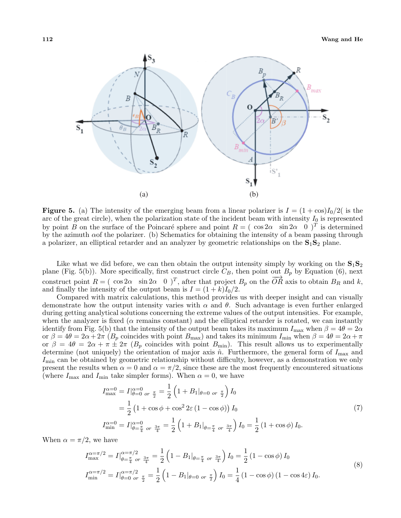

**Figure 5.** (a) The intensity of the emerging beam from a linear polarizer is  $I = (1 + \cos)I_0/2$  (is the arc of the great circle), when the polarization state of the incident beam with intensity  $I_0$  is represented by point *B* on the surface of the Poincaré sphere and point  $R = ( \cos 2\alpha \sin 2\alpha \ 0)^T$  is determined by the azimuth *α*of the polarizer. (b) Schematics for obtaining the intensity of a beam passing through a polarizer, an elliptical retarder and an analyzer by geometric relationships on the **S**1**S**<sup>2</sup> plane.

Like what we did before, we can then obtain the output intensity simply by working on the  $S_1S_2$ plane (Fig. 5(b)). More specifically, first construct circle  $C_B$ , then point out  $B_p$  by Equation (6), next construct point  $R = ( \cos 2\alpha \sin 2\alpha \ 0)^T$ , after that project  $B_p$  on the  $\overrightarrow{OR}$  axis to obtain  $B_R$  and  $k$ , and finally the intensity of the output beam is  $I = (1 + k)I_0/2$ .

Compared with matrix calculations, this method provides us with deeper insight and can visually demonstrate how the output intensity varies with *α* and *θ*. Such advantage is even further enlarged during getting analytical solutions concerning the extreme values of the output intensities. For example, when the analyzer is fixed ( $\alpha$  remains constant) and the elliptical retarder is rotated, we can instantly identify from Fig. 5(b) that the intensity of the output beam takes its maximum  $I_{\text{max}}$  when  $\beta = 4\theta = 2\alpha$ or  $\beta = 4\theta = 2\alpha + 2\pi (B_p \text{ coincides with point } B_{\text{max}})$  and takes its minimum  $I_{\text{min}}$  when  $\beta = 4\theta = 2\alpha + \pi$ or  $\beta = 4\theta = 2\alpha + \pi \pm 2\pi$  ( $B_p$  coincides with point  $B_{\text{min}}$ ). This result allows us to experimentally determine (not uniquely) the orientation of major axis  $\hat{n}$ . Furthermore, the general form of  $I_{\text{max}}$  and *I*<sub>min</sub> can be obtained by geometric relationship without difficulty, however, as a demonstration we only present the results when  $\alpha = 0$  and  $\alpha = \pi/2$ , since these are the most frequently encountered situations (where  $I_{\text{max}}$  and  $I_{\text{min}}$  take simpler forms). When  $\alpha = 0$ , we have

$$
I_{\text{max}}^{\alpha=0} = I|_{\theta=0 \text{ or } \frac{\pi}{2}}^{\alpha=0} = \frac{1}{2} \left( 1 + B_1|_{\theta=0 \text{ or } \frac{\pi}{2}} \right) I_0
$$
  
=  $\frac{1}{2} \left( 1 + \cos \phi + \cos^2 2\varepsilon (1 - \cos \phi) \right) I_0$   

$$
I_{\text{min}}^{\alpha=0} = I|_{\theta=\frac{\pi}{4} \text{ or } \frac{3\pi}{4}}^{\alpha=0} = \frac{1}{2} \left( 1 + B_1|_{\theta=\frac{\pi}{4} \text{ or } \frac{3\pi}{4}} \right) I_0 = \frac{1}{2} \left( 1 + \cos \phi \right) I_0.
$$
 (7)

When  $\alpha = \pi/2$ , we have

$$
I_{\max}^{\alpha=\pi/2} = I|_{\theta=\frac{\pi}{4} \text{ or } \frac{3\pi}{4}}^{\alpha=\pi/2} = \frac{1}{2} \left(1 - B_1|_{\theta=\frac{\pi}{4} \text{ or } \frac{3\pi}{4}}\right) I_0 = \frac{1}{2} \left(1 - \cos \phi\right) I_0
$$
  

$$
I_{\min}^{\alpha=\pi/2} = I|_{\theta=0 \text{ or } \frac{\pi}{2}}^{\alpha=\pi/2} = \frac{1}{2} \left(1 - B_1|_{\theta=0 \text{ or } \frac{\pi}{2}}\right) I_0 = \frac{1}{4} \left(1 - \cos \phi\right) \left(1 - \cos 4\varepsilon\right) I_0.
$$
  
(8)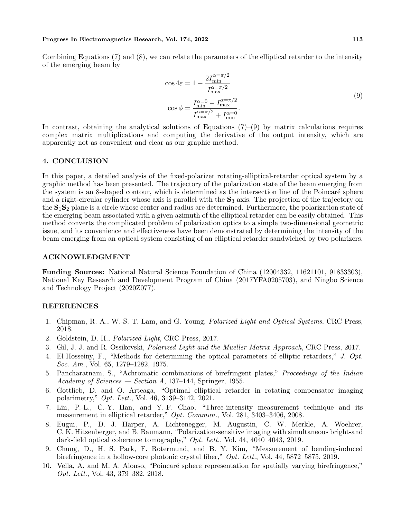#### **Progress In Electromagnetics Research, Vol. 174, 2022 113**

Combining Equations (7) and (8), we can relate the parameters of the elliptical retarder to the intensity of the emerging beam by

$$
\cos 4\varepsilon = 1 - \frac{2I_{\min}^{\alpha = \pi/2}}{I_{\max}^{\alpha = \pi/2}} \tag{9}
$$
\n
$$
\cos \phi = \frac{I_{\min}^{\alpha = 0} - I_{\max}^{\alpha = \pi/2}}{I_{\max}^{\alpha = \pi/2} + I_{\min}^{\alpha = 0}}.
$$

In contrast, obtaining the analytical solutions of Equations  $(7)-(9)$  by matrix calculations requires complex matrix multiplications and computing the derivative of the output intensity, which are apparently not as convenient and clear as our graphic method.

# **4. CONCLUSION**

In this paper, a detailed analysis of the fixed-polarizer rotating-elliptical-retarder optical system by a graphic method has been presented. The trajectory of the polarization state of the beam emerging from the system is an 8-shaped contour, which is determined as the intersection line of the Poincaré sphere and a right-circular cylinder whose axis is parallel with the **S**<sup>3</sup> axis. The projection of the trajectory on the **S**1**S**<sup>2</sup> plane is a circle whose center and radius are determined. Furthermore, the polarization state of the emerging beam associated with a given azimuth of the elliptical retarder can be easily obtained. This method converts the complicated problem of polarization optics to a simple two-dimensional geometric issue, and its convenience and effectiveness have been demonstrated by determining the intensity of the beam emerging from an optical system consisting of an elliptical retarder sandwiched by two polarizers.

### **ACKNOWLEDGMENT**

**Funding Sources:** National Natural Science Foundation of China (12004332, 11621101, 91833303), National Key Research and Development Program of China (2017YFA0205703), and Ningbo Science and Technology Project (2020Z077).

## **REFERENCES**

- 1. Chipman, R. A., W.-S. T. Lam, and G. Young, *Polarized Light and Optical Systems*, CRC Press, 2018.
- 2. Goldstein, D. H., *Polarized Light*, CRC Press, 2017.
- 3. Gil, J. J. and R. Ossikovski, *Polarized Light and the Mueller Matrix Approach*, CRC Press, 2017.
- 4. El-Hosseiny, F., "Methods for determining the optical parameters of elliptic retarders," *J. Opt. Soc. Am.*, Vol. 65, 1279–1282, 1975.
- 5. Pancharatnam, S., "Achromatic combinations of birefringent plates," *Proceedings of the Indian Academy of Sciences — Section A*, 137–144, Springer, 1955.
- 6. Gottlieb, D. and O. Arteaga, "Optimal elliptical retarder in rotating compensator imaging polarimetry," *Opt. Lett.*, Vol. 46, 3139–3142, 2021.
- 7. Lin, P.-L., C.-Y. Han, and Y.-F. Chao, "Three-intensity measurement technique and its measurement in elliptical retarder," *Opt. Commun.*, Vol. 281, 3403–3406, 2008.
- 8. Eugui, P., D. J. Harper, A. Lichtenegger, M. Augustin, C. W. Merkle, A. Woehrer, C. K. Hitzenberger, and B. Baumann, "Polarization-sensitive imaging with simultaneous bright-and dark-field optical coherence tomography," *Opt. Lett.*, Vol. 44, 4040–4043, 2019.
- 9. Chung, D., H. S. Park, F. Rotermund, and B. Y. Kim, "Measurement of bending-induced birefringence in a hollow-core photonic crystal fiber," *Opt. Lett.*, Vol. 44, 5872–5875, 2019.
- 10. Vella, A. and M. A. Alonso, "Poincaré sphere representation for spatially varying birefringence," *Opt. Lett.*, Vol. 43, 379–382, 2018.